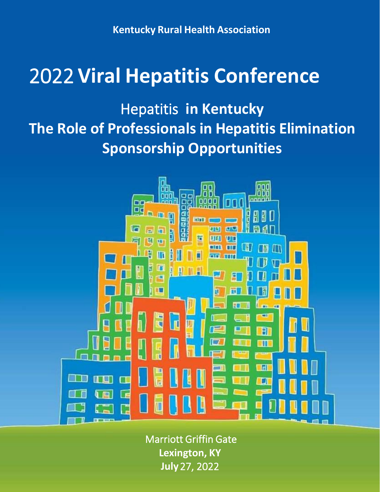**Kentucky Rural Health Association** 

# 2022 **Viral Hepatitis Conference**

Hepatitis **in Kentucky The Role of Professionals in Hepatitis Elimination Sponsorship Opportunities**



 Marriott Griffin Gate **Lexington, KY July** 27, 2022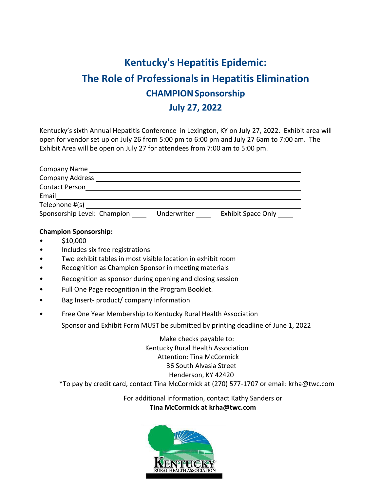## **Kentucky's Hepatitis Epidemic: The Role of Professionals in Hepatitis Elimination CHAMPION Sponsorship July 27, 2022**

Kentucky's sixth Annual Hepatitis Conference in Lexington, KY on July 27, 2022. Exhibit area will open for vendor set up on July 26 from 5:00 pm to 6:00 pm and July 27 6am to 7:00 am. The Exhibit Area will be open on July 27 for attendees from 7:00 am to 5:00 pm.

| <b>Company Name</b>         |             |                           |
|-----------------------------|-------------|---------------------------|
| <b>Company Address</b>      |             |                           |
| <b>Contact Person</b>       |             |                           |
| Email                       |             |                           |
| Telephone #(s)              |             |                           |
| Sponsorship Level: Champion | Underwriter | <b>Exhibit Space Only</b> |

#### **Champion Sponsorship:**

- $\bullet$  \$10,000
- Includes six free registrations
- Two exhibit tables in most visible location in exhibit room
- Recognition as Champion Sponsor in meeting materials
- Recognition as sponsor during opening and closing session
- Full One Page recognition in the Program Booklet.
- Bag Insert- product/ company Information
- Free One Year Membership to Kentucky Rural Health Association

Sponsor and Exhibit Form MUST be submitted by printing deadline of June 1, 2022

Make checks payable to: Kentucky Rural Health Association Attention: Tina McCormick 36 South Alvasia Street Henderson, KY 42420 [\\*To pay by credit card, contact Tina McCormick at \(270\) 577-1707 or email: krha@twc.com](mailto:krha@twc.com)

> For additional information, contact Kat[hy Sanders or](mailto:Kathyj.Sanders@ky.gov)  **Tina McCormick at [krha@twc.com](mailto:krha@twc.com)**